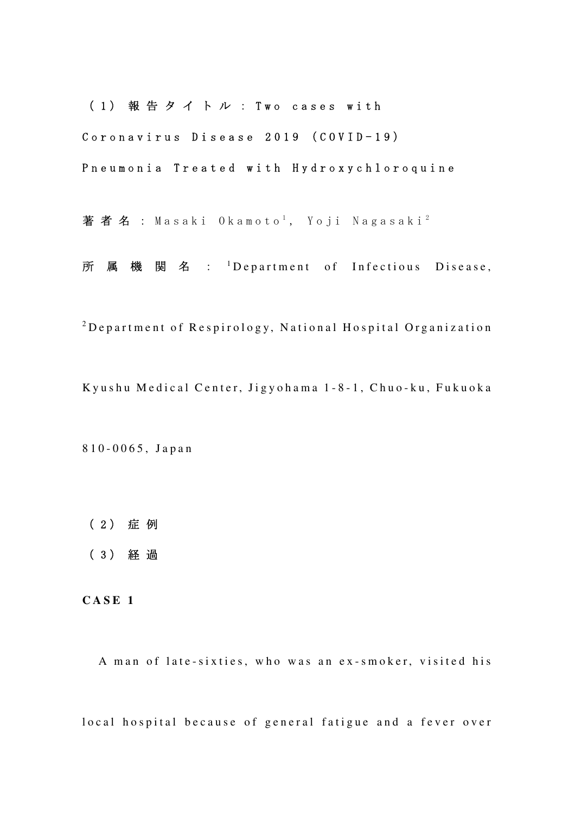(1) 報告タイトル : Two cases with

Coronavirus Disease 2019 (COVID-19)

P n e u m o n i a T r e a t e d w i t h H y d r o x y c h l o r o q u i n e

著者名 : Masaki Okamoto<sup>1</sup>, Yoji Nagasaki<sup>2</sup>

所 属 機 関 名 : <sup>1</sup>Department of Infectious Disease,

 $2$ Department of Respirology, National Hospital Organization

Kyushu Medical Center, Jigyohama 1-8-1, Chuo-ku, Fukuoka

8 1 0 - 0 0 6 5 , J a p a n

- ( 2 ) 症 例
- ( 3 ) 経 過

**C A S E 1** 

A man of late-sixties, who was an ex-smoker, visited his

local hospital because of general fatigue and a fever over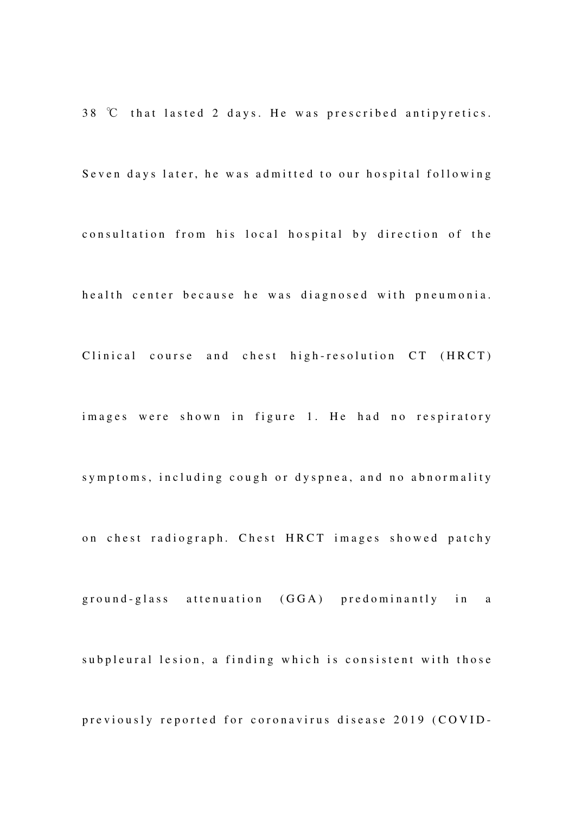$38$  °C that lasted 2 days. He was prescribed antipyretics. Seven days later, he was admitted to our hospital following consultation from his local hospital by direction of the health center because he was diagnosed with pneumonia. Clinical course and chest high-resolution CT (HRCT) images were shown in figure 1. He had no respiratory symptoms, including cough or dyspnea, and no abnormality on chest radiograph. Chest HRCT images showed patchy ground-glass attenuation (GGA) predominantly in a subpleural lesion, a finding which is consistent with those previously reported for coronavirus disease 2019 (COVID-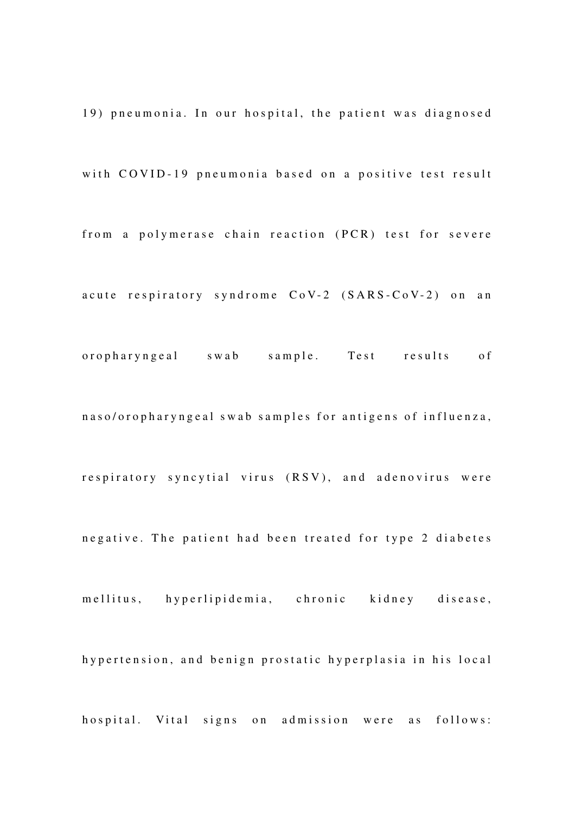19) pneumonia. In our hospital, the patient was diagnosed with COVID-19 pneumonia based on a positive test result from a polymerase chain reaction (PCR) test for severe a cute respiratory syndrome  $CoV-2$   $(SARS-CoV-2)$  on an or o pharyngeal swab sample. Test results of n a s o / o r o p h a r y n g e a l s w a b s a m p l e s f o r antigens of influenza, respiratory syncytial virus (RSV), and adenovirus were negative. The patient had been treated for type 2 diabetes mellitus, hyperlipidemia, chronic kidney disease, hy p ertension, and benign prostatic hyperplasia in his local hospital. Vital signs on admission were as follows: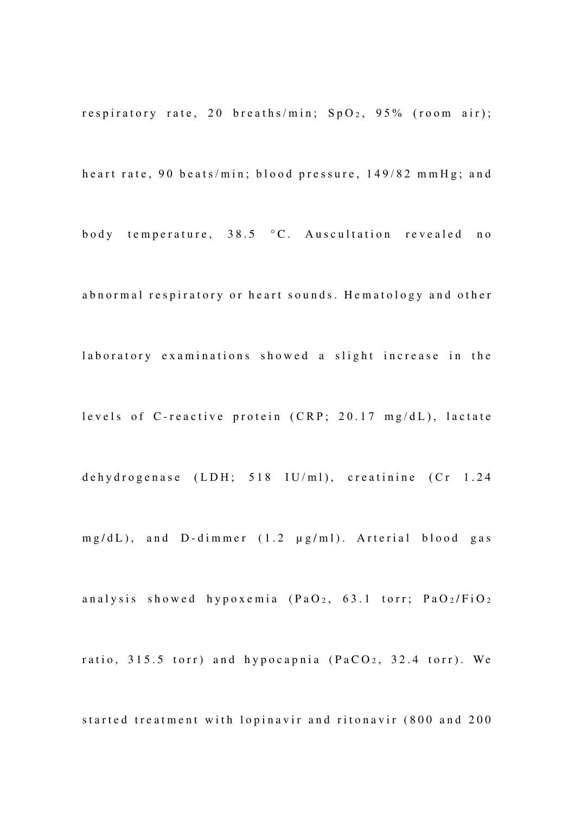r e spiratory rate, 20 b r e ath s/min;  $SpO<sub>2</sub>$ , 95% (room air);

heart rate, 90 beats/min; blood pressure, 149/82 mmHg; and

body temperature, 38.5 °C. Auscultation revealed no

abnormal respiratory or heart sounds. Hematology and other

laboratory examinations showed a slight increase in the

levels of C-reactive protein (CRP; 20.17 mg/dL), lactate

dehydrogenase (LDH; 518 IU/ml), creatinine (Cr 1.24

 $mg/dL$ ), and D-dimmer  $(1.2 \mu g/ml)$ . Arterial blood gas

analysis showed hypoxemia  $(PaO<sub>2</sub>, 63.1$  torr;  $PaO<sub>2</sub>/FiO<sub>2</sub>$ 

ratio,  $315.5$  torr) and hypocapnia ( $PaCO<sub>2</sub>$ ,  $32.4$  torr). We

started treatment with lopinavir and ritonavir (800 and 200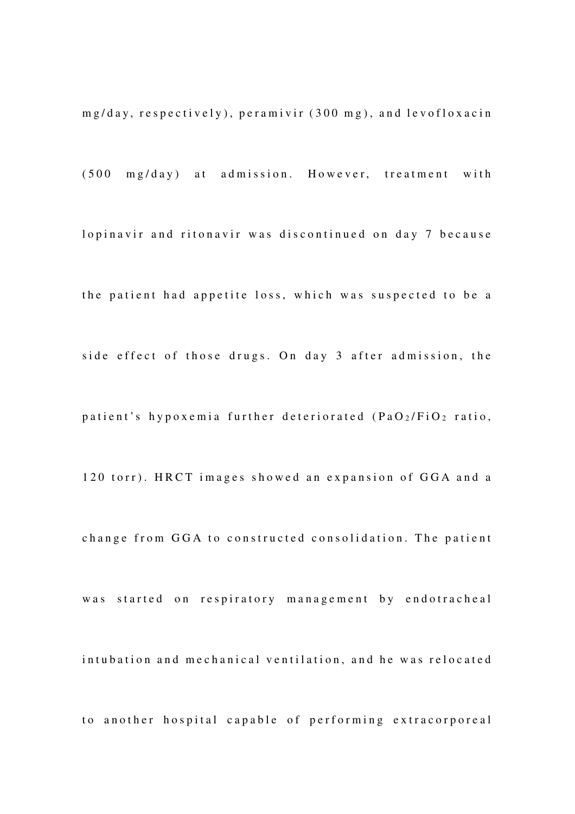$mg/day$ , respectively), peramivir  $(300 \text{ mg})$ , and levofloxacin

 $(500 \text{ mg/day})$  at admission. However, treatment with

lopinavir and ritonavir was discontinued on day 7 because

the patient had appetite loss, which was suspected to be a side effect of those drugs. On day 3 after admission, the patient's hypoxemia further deteriorated (PaO2/FiO2 ratio,

120 torr). HRCT images showed an expansion of GGA and a

change from GGA to constructed consolidation. The patient

was started on respiratory management by endotracheal

intubation and mechanical ventilation, and he was relocated

to another hospital capable of performing extracorporeal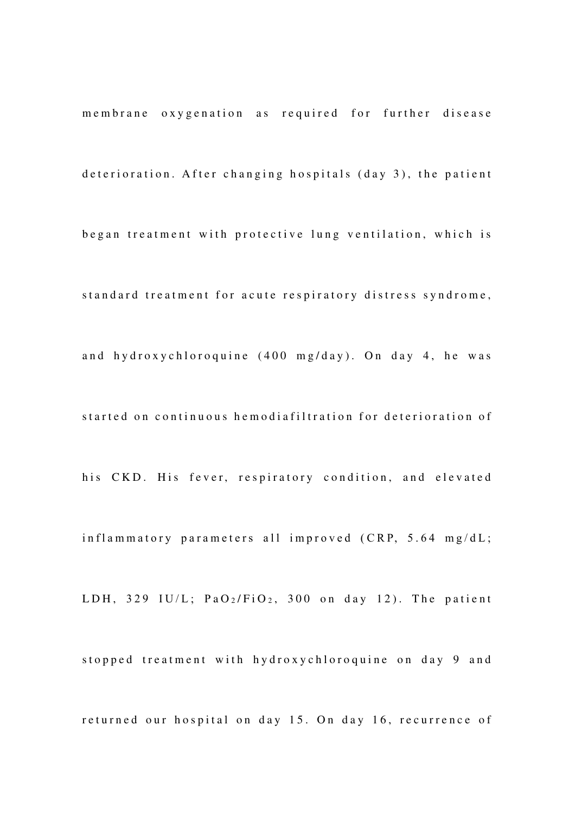membrane oxygenation as required for further disease deterioration. After changing hospitals (day 3), the patient began treatment with protective lung ventilation, which is standard treatment for acute respiratory distress syndrome, and hydroxychloroquine  $(400 \text{ mg/day})$ . On day 4, he was started on continuous hemodiafiltration for deterioration of his CKD. His fever, respiratory condition, and elevated  $in$ flammatory parameters all improved (CRP, 5.64 mg/dL; LDH, 329 IU/L;  $PaO<sub>2</sub>/FiO<sub>2</sub>$ , 300 on day 12). The patient stopped treatment with hydroxychloroquine on day 9 and returned our hospital on day 15. On day 16, recurrence of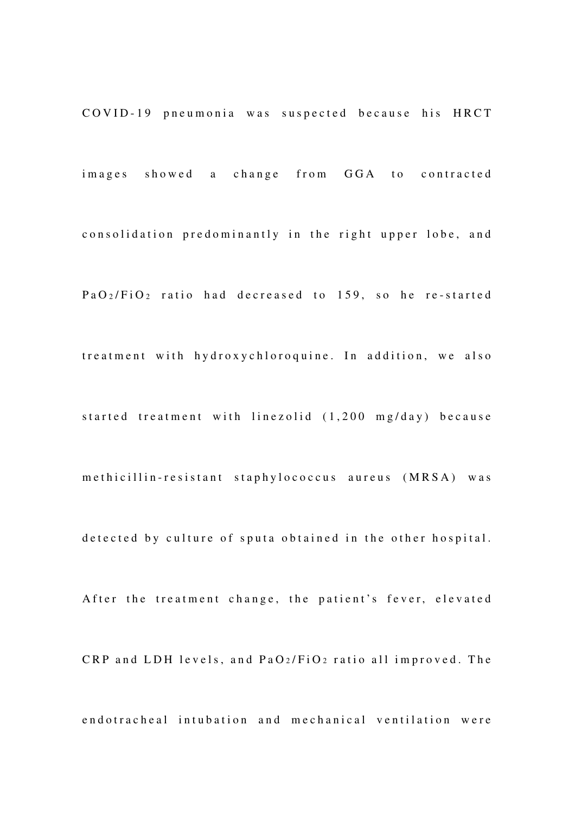COVID-19 pneumonia was suspected because his HRCT

images showed a change from GGA to contracted consolidation predominantly in the right upper lobe, and  $PaO<sub>2</sub>/FiO<sub>2</sub>$  ratio had decreased to 159, so he re-started treatment with hydroxychloroquine. In addition, we also started treatment with linezolid (1,200 mg/day) because m e thi cillin-resistant staphylococcus aureus (MRSA) was detected by culture of sputa obtained in the other hospital. A fter the treatment change, the patient's fever, elevated  $CRP$  and  $LDH$  levels, and  $PaO_2/FiO_2$  ratio all improved. The

endotracheal intubation and mechanical ventilation were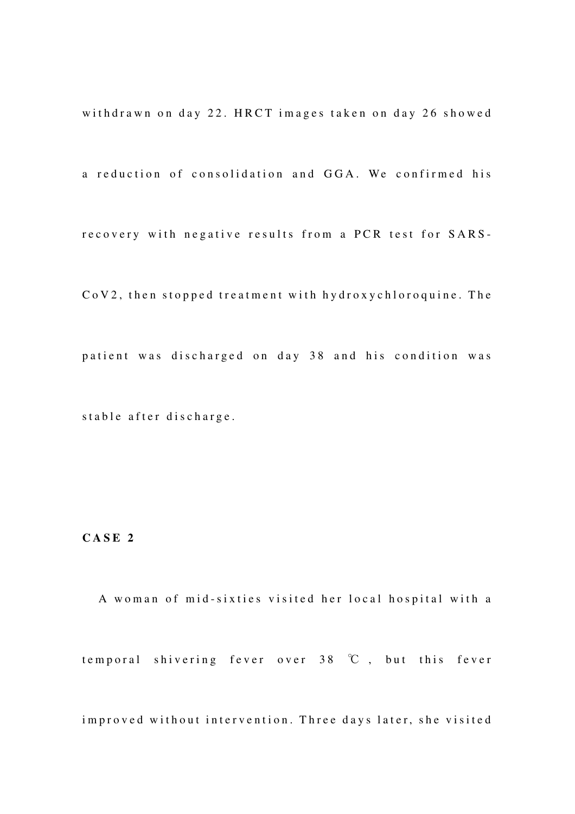withdrawn on day 22. HRCT images taken on day 26 showed

a reduction of consolidation and GGA. We confirmed his

recovery with negative results from a PCR test for SARS-

CoV2, then stopped treatment with hydroxychloroquine. The patient was discharged on day 38 and his condition was stable after discharge.

#### **C A S E 2**

A woman of mid-sixties visited her local hospital with a temporal shivering fever over  $38 \degree \text{C}$ , but this fever

improved without intervention. Three days later, she visited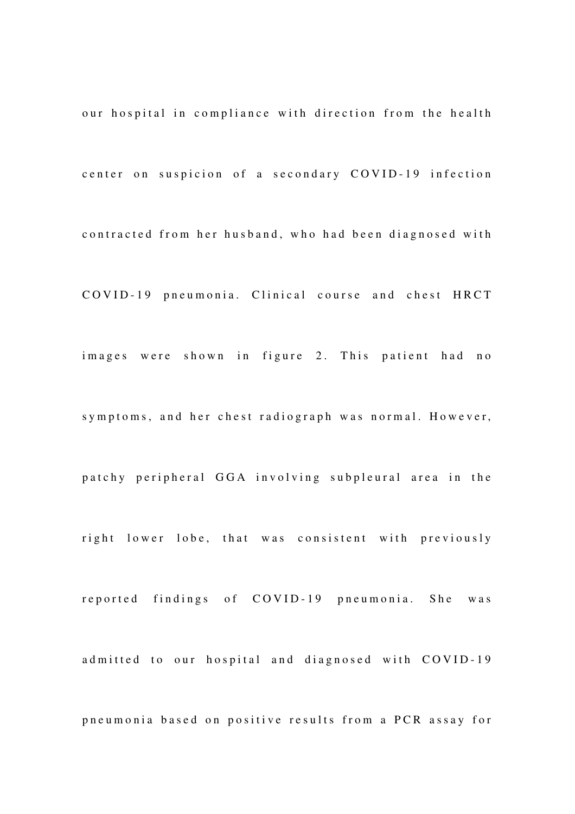our hospital in compliance with direction from the health center on suspicion of a secondary COVID-19 infection contracted from her husband, who had been diagnosed with COVID-19 pneumonia. Clinical course and chest HRCT images were shown in figure 2. This patient had no symptoms, and her chest radiograph was normal. However, patchy peripheral GGA involving subpleural area in the right lower lobe, that was consistent with previously reported findings of COVID-19 pneumonia. She was ad mitted to our hospital and diagnosed with COVID-19 pneumonia based on positive results from a PCR assay for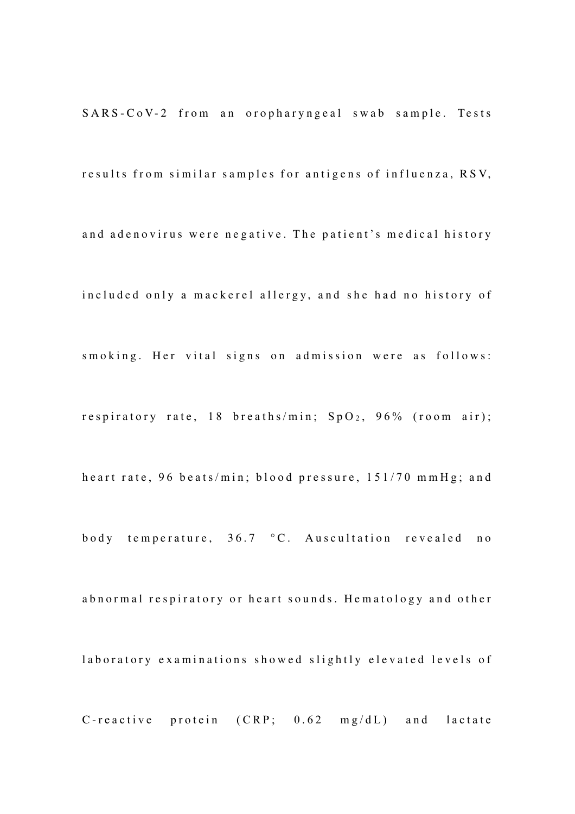SARS-CoV-2 from an oropharyngeal swab sample. Tests

results from similar samples for antigens of influenza, RSV,

and adenovirus were negative. The patient's medical history

included only a mackerel allergy, and she had no history of

smoking. Her vital signs on admission were as follows:

r e spiratory rate, 18 b r e ath s/min;  $SpO<sub>2</sub>$ , 96% (room air);

heart rate, 96 beats/min; blood pressure, 151/70 mmHg; and

body temperature,  $36.7 \degree$ C. Auscultation revealed no

abnormal respiratory or heart sounds. Hematology and other

laboratory examinations showed slightly elevated levels of

C-reactive protein  $(CRP; 0.62 \text{ mg/dL})$  and lactate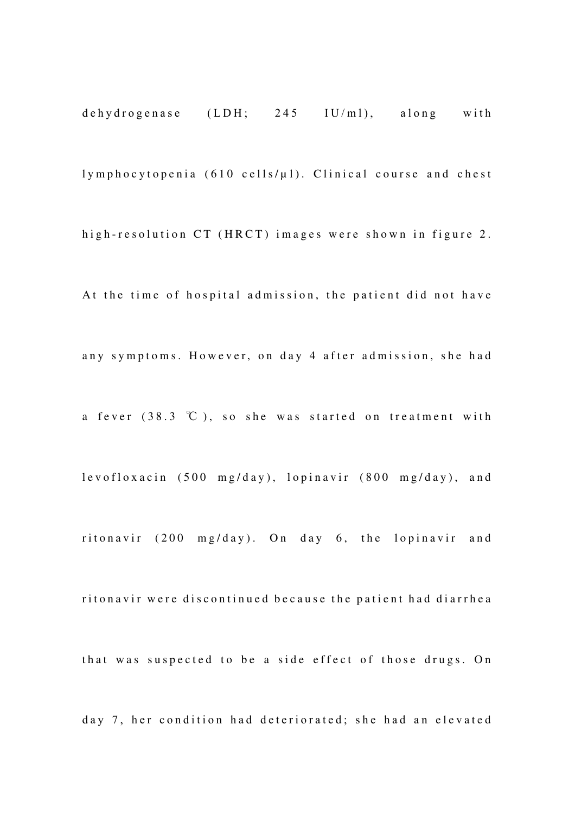dehydrogenase  $(LDH; 245 \quad IU/ml)$ , along with  $lymphocytopenia$  (610 cells/ $\mu$ l). Clinical course and chest high-resolution CT (HRCT) images were shown in figure 2. At the time of hospital admission, the patient did not have any symptoms. However, on day 4 after admission, she had a fever  $(38.3 \degree C)$ , so she was started on treatment with lev o floxacin (500 mg/day), lopinavir (800 mg/day), and ritonavir  $(200 \text{ mg/day})$ . On day 6, the lopinavir and ritonavir were discontinued because the patient had diarrhea that was suspected to be a side effect of those drugs. On day 7, her condition had deteriorated; she had an elevated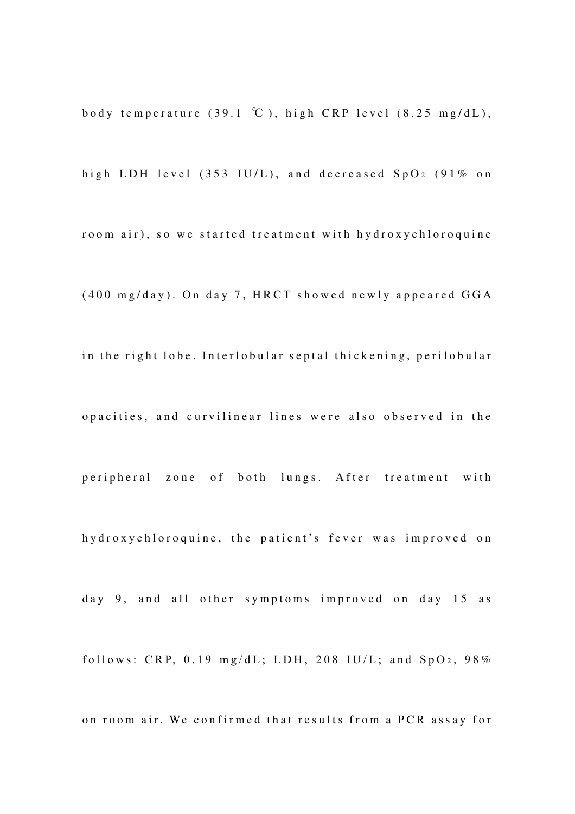body temperature (39.1 °C), high CRP level  $(8.25 \text{ mg/dL})$ ,

high LDH level (353 IU/L), and decreased  $SpO<sub>2</sub>$  (91% on

room air), so we started treatment with hydroxychloroquine

 $(400 \text{ mg/day})$ . On day 7, HRCT showed newly appeared GGA

in the right lobe. Interlobular septal thickening, perilobular

opacities, and curvilinear lines were also observed in the

p eripheral zone of both lungs. After treatment with

hy droxy chloroquine, the patient's fever was improved on

day 9, and all other symptoms improved on day 15 as

follows: CRP,  $0.19$  mg/dL; LDH, 208 IU/L; and  $SpO<sub>2</sub>$ , 98%

on room air. We confirmed that results from a PCR assay for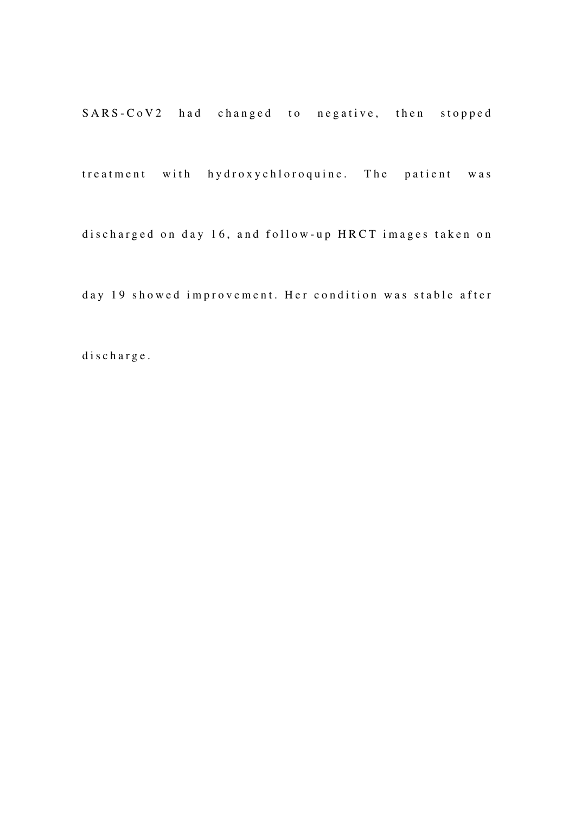SARS-CoV2 had changed to negative, then stopped

treatment with hydroxychloroquine. The patient was

discharged on day 16, and follow-up HRCT images taken on

day 19 showed improvement. Her condition was stable after

d i s c h a r g e .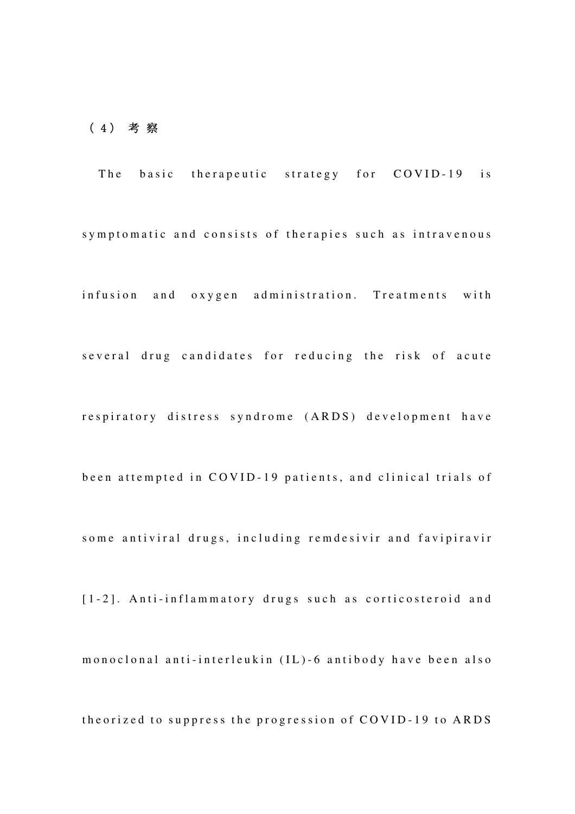### ( 4 ) 考 察

The basic therapeutic strategy for COVID-19 is symptomatic and consists of therapies such as intravenous infusion and oxygen administration. Treatments with several drug candidates for reducing the risk of acute respiratory distress syndrome (ARDS) development have been attempted in COVID-19 patients, and clinical trials of some antiviral drugs, including remdesivir and favipiravir [1-2]. Anti-inflammatory drugs such as corticosteroid and m o n o c l o n a l anti-inter l eu k in (IL) - 6 antibody have been also theorized to suppress the progression of COVID-19 to ARDS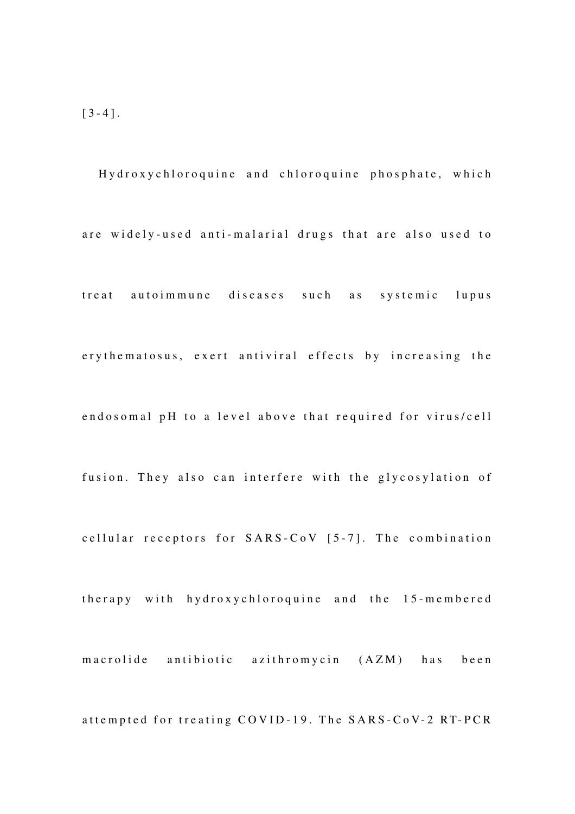Hydroxychloroquine and chloroquine phosphate, which are widely-used anti-malarial drugs that are also used to treat autoimmune diseases such as systemic lupus ery the matosus, exert antiviral effects by increasing the endosomal pH to a level above that required for virus/cell fusion. They also can interfere with the glycosylation of cellular receptors for  $SARS-CoV$  [5-7]. The combination therapy with hydroxychloroquine and the 15-membered m a c rolide antibiotic azithromycin (AZM) has been attempted for treating COVID-19. The SARS-CoV-2 RT-PCR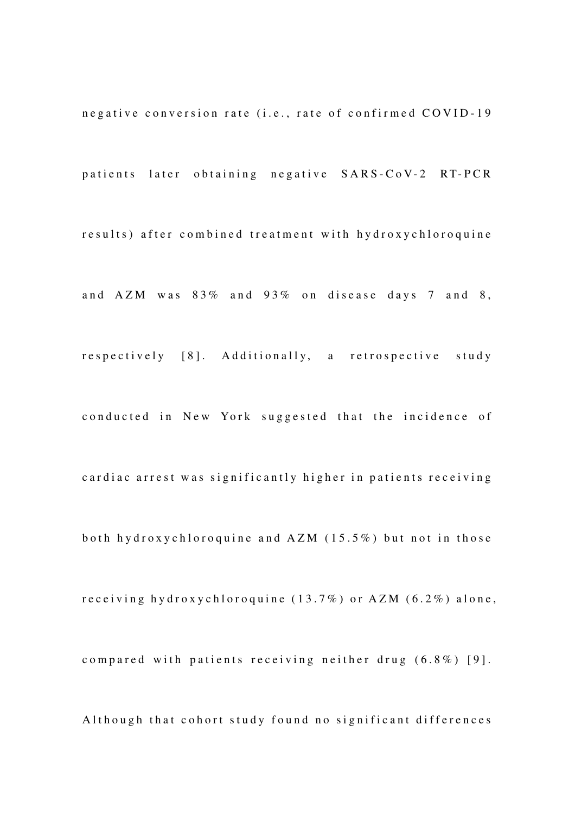negative conversion rate (i.e., rate of confirmed COVID-19

patients later obtaining negative SARS-CoV-2 RT-PCR

results) after combined treatment with hydroxychloroquine

and  $AZM$  was  $83\%$  and  $93\%$  on disease days 7 and 8,

respectively [8]. Additionally, a retrospective study

conducted in New York suggested that the incidence of

cardiac arrest was significantly higher in patients receiving

both hydroxychloroquine and  $AZM$  (15.5%) but not in those

receiving hydroxychloroquine  $(13.7%)$  or  $AZM$   $(6.2%)$  alone,

compared with patients receiving neither drug (6.8%) [9].

Although that cohort study found no significant differences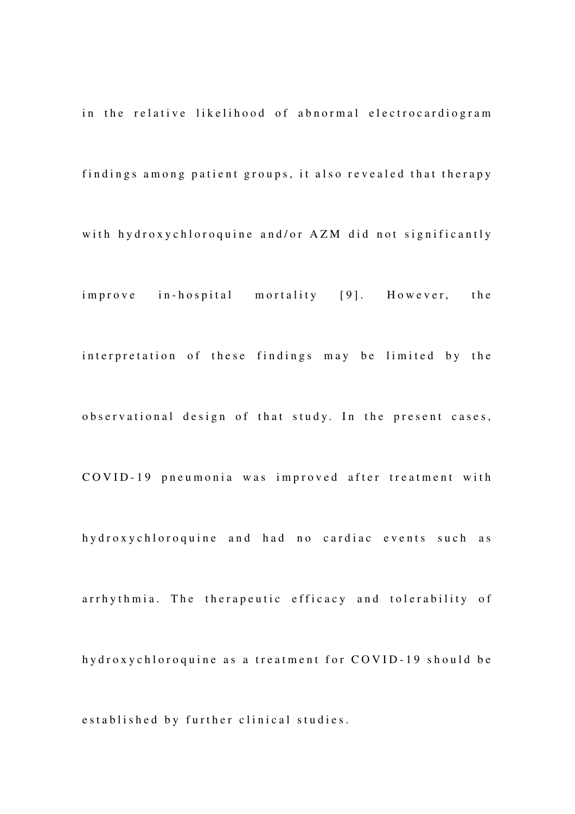in the relative likelihood of abnormal electrocardiogram findings among patient groups, it also revealed that therapy with hydroxychloroquine and/or AZM did not significantly improve in-hospital mortality [9]. However, the interpretation of these findings may be limited by the observational design of that study. In the present cases, COVID-19 pneumonia was improved after treatment with hy droxy chloroquine and had no cardiac events such as arrhythmia. The therapeutic efficacy and tolerability of hy droxy chloroquine as a treatment for COVID-19 should be e stablished by further clinical studies.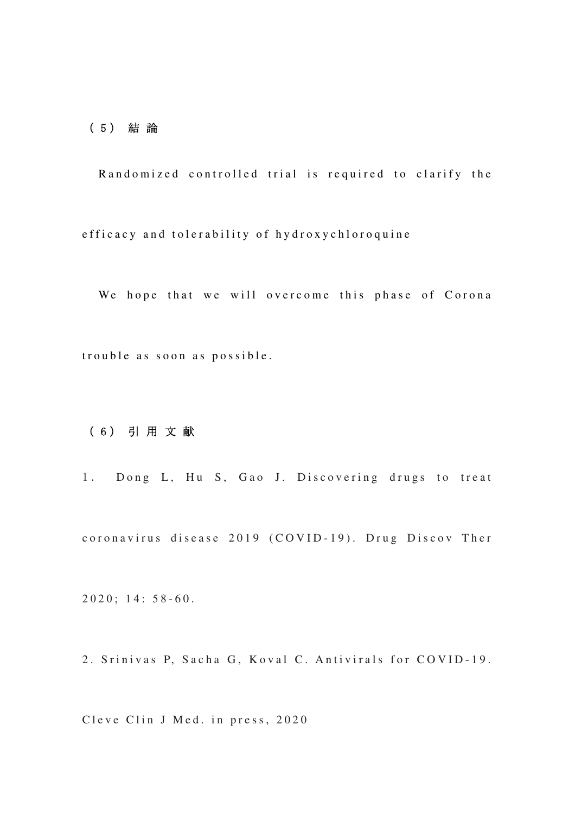### ( 5 ) 結 論

Randomized controlled trial is required to clarify the efficacy and tolerability of hydroxychloroquine

We hope that we will overcome this phase of Corona trouble as soon as possible.

## ( 6 ) 引 用 文 献

1. Dong L, Hu S, Gao J. Discovering drugs to treat coronavirus disease 2019 (COVID-19). Drug Discov Ther

 $2020$ ; 14: 58-60.

2. Srinivas P, Sacha G, Koval C. Antivirals for COVID-19.

Cleve Clin J Med. in press, 2020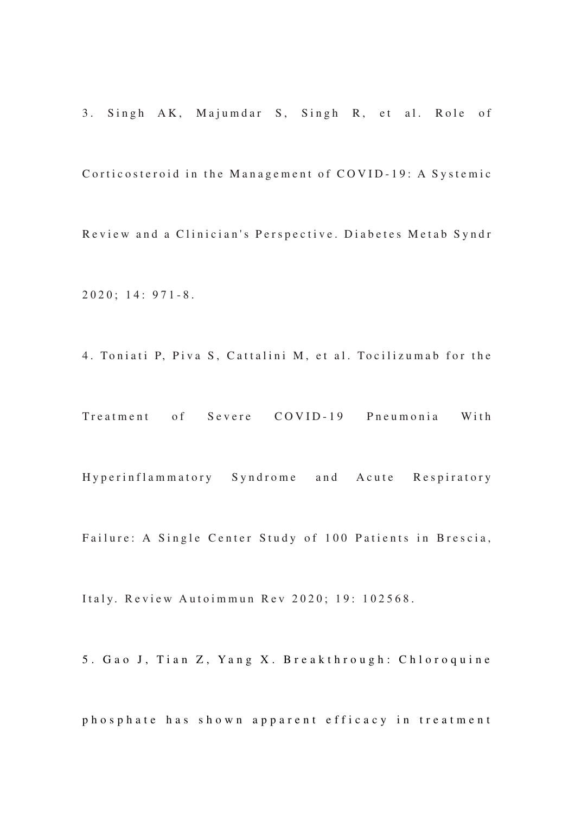3. Singh AK, Majumdar S, Singh R, et al. Role of Corticosteroid in the Management of COVID-19: A Systemic Review and a Clinician's Perspective. Diabetes Metab Syndr  $2020$ ; 14: 971-8.

4. Toniati P, Piva S, Cattalini M, et al. Tocilizumab for the

Treatment of Severe COVID-19 Pneumonia With

Hyperinflammatory Syndrome and Acute Respiratory

Failure: A Single Center Study of 100 Patients in Brescia,

Italy. Review Autoimmun Rev 2020; 19: 102568.

5. Gao J, Tian Z, Yang X. Breakthrough: Chloroquine

phosphate has shown apparent efficacy in treatment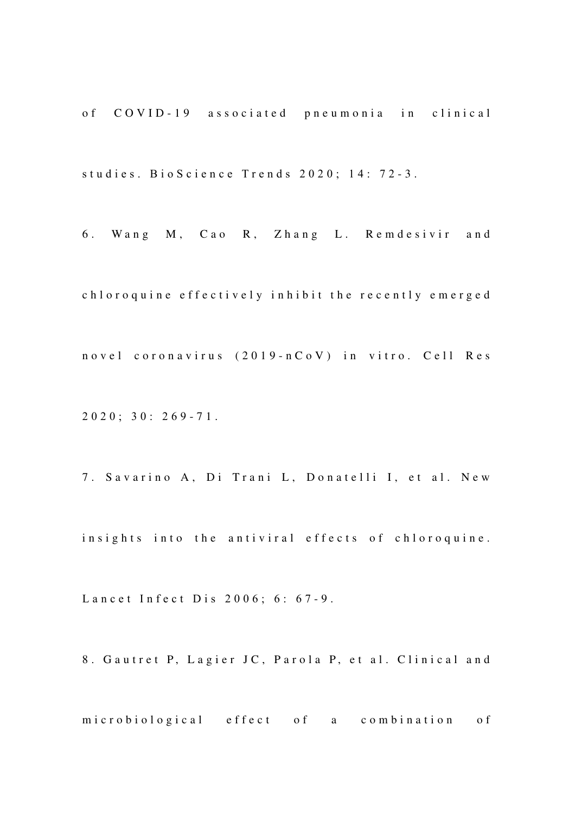of COVID-19 associated pneumonia in clinical studies. Bio Science Trends 2020; 14: 72-3.

6. Wang M, Cao R, Zhang L. Remdesivir and

chloroquine effectively inhibit the recently emerged n o v e l c o r o n a v i r u s ( 2019 - n C o V ) in vitro. C e l l R e s

 $2020$ ;  $30: 269 - 71$ .

7. Savarino A, Di Trani L, Donatelli I, et al. New

insights into the antiviral effects of chloroquine.

Lancet Infect Dis 2006; 6: 67-9.

8. Gautret P, Lagier JC, Parola P, et al. Clinical and

microbiological effect of a combination of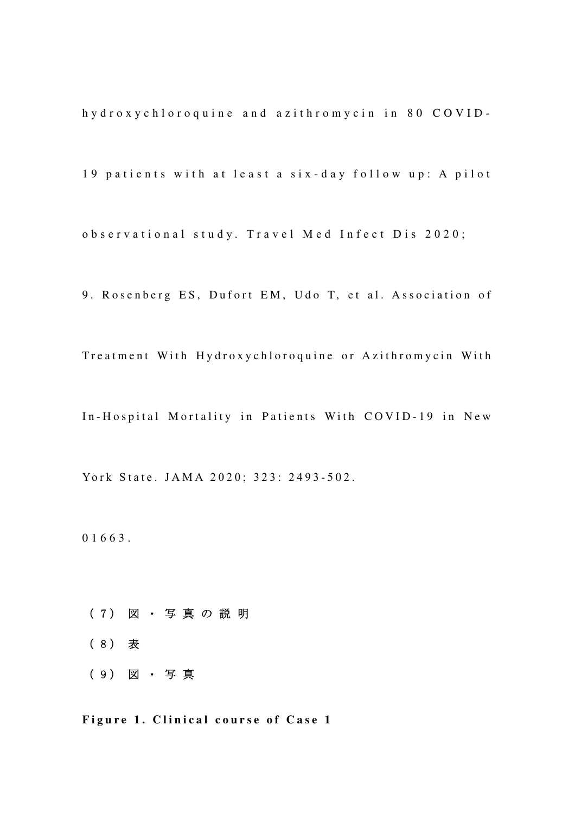h y d r o x y c h l o r o q u i n e a n d a z i t h r o m y c i n i n 80 C O V I D -

19 patients with at least a six-day follow up: A pilot

o b s e r v a t i o n a l s t u d y . T r a v e l M e d I n f e c t D i s 2020;

9. Rosenberg ES, Dufort EM, Udo T, et al. Association of

Treatment With Hydroxychloroquine or Azithromycin With

In-Hospital Mortality in Patients With COVID-19 in New

York State. JAMA 2020; 323: 2493-502.

0 1 6 6 3.

- ( 7 ) 図 ・ 写 真 の 説 明
- ( 8 ) 表
- ( 9 ) 図 ・ 写 真

Figure 1. Clinical course of Case 1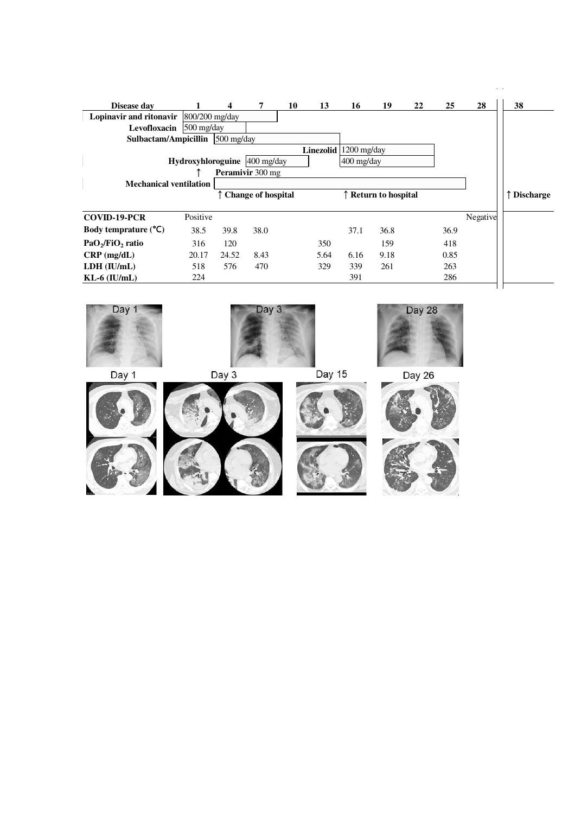| Disease day                                               |            | 4            | 7                       | 10 | 13        | 16            | 19                   | 22 | 25   | 28       | 38               |
|-----------------------------------------------------------|------------|--------------|-------------------------|----|-----------|---------------|----------------------|----|------|----------|------------------|
| <b>Lopinavir and ritonavir</b> $ 800/200 \text{ mg/day} $ |            |              |                         |    |           |               |                      |    |      |          |                  |
| Levofloxacin                                              | 500 mg/day |              |                         |    |           |               |                      |    |      |          |                  |
| Sulbactam/Ampicillin                                      |            | $500$ mg/day |                         |    |           |               |                      |    |      |          |                  |
|                                                           |            |              |                         |    | Linezolid | $1200$ mg/day |                      |    |      |          |                  |
| Hydroxyhloroguine 400 mg/day<br>$400$ mg/day              |            |              |                         |    |           |               |                      |    |      |          |                  |
|                                                           |            |              | <b>Peramivir</b> 300 mg |    |           |               |                      |    |      |          |                  |
| <b>Mechanical ventilation</b>                             |            |              |                         |    |           |               |                      |    |      |          |                  |
|                                                           |            |              | Change of hospital      |    |           |               | ↑ Return to hospital |    |      |          | <b>Discharge</b> |
| <b>COVID-19-PCR</b>                                       | Positive   |              |                         |    |           |               |                      |    |      | Negative |                  |
| Body temprature $(^{\circ}C)$                             | 38.5       | 39.8         | 38.0                    |    |           | 37.1          | 36.8                 |    | 36.9 |          |                  |
| PaO <sub>2</sub> /FiO <sub>2</sub> ratio                  | 316        | 120          |                         |    | 350       |               | 159                  |    | 418  |          |                  |
| $CRP$ (mg/dL)                                             | 20.17      | 24.52        | 8.43                    |    | 5.64      | 6.16          | 9.18                 |    | 0.85 |          |                  |
| LDH (IU/mL)                                               | 518        | 576          | 470                     |    | 329       | 339           | 261                  |    | 263  |          |                  |
| $KL-6$ ( $IU/mL$ )                                        | 224        |              |                         |    |           | 391           |                      |    | 286  |          |                  |
|                                                           |            |              |                         |    |           |               |                      |    |      |          |                  |



 $\hat{\mathcal{L}}$